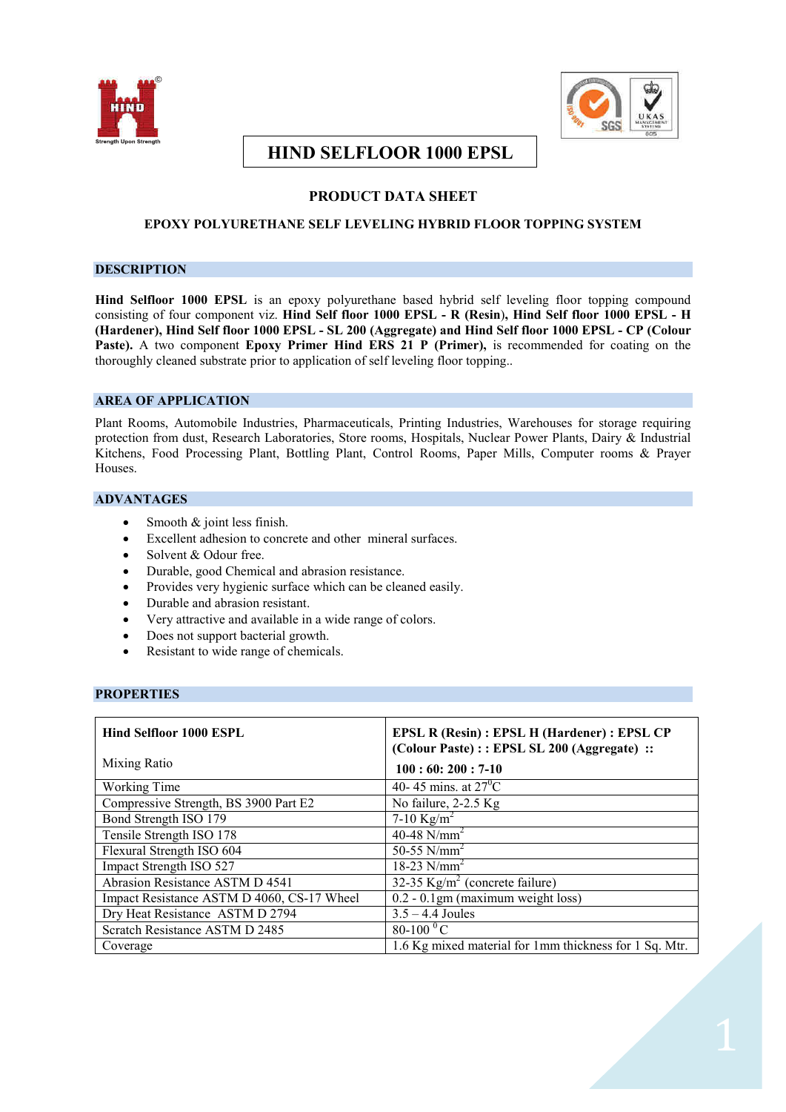



# **HIND SELFLOOR 1000 EPSL**

# **PRODUCT DATA SHEET**

# **EPOXY POLYURETHANE SELF LEVELING HYBRID FLOOR TOPPING SYSTEM**

# **DESCRIPTION**

**Hind Selfloor 1000 EPSL** is an epoxy polyurethane based hybrid self leveling floor topping compound consisting of four component viz. **Hind Self floor 1000 EPSL - R (Resin**)**, Hind Self floor 1000 EPSL - H (Hardener), Hind Self floor 1000 EPSL - SL 200 (Aggregate) and Hind Self floor 1000 EPSL - CP (Colour Paste).** A two component **Epoxy Primer Hind ERS 21 P (Primer),** is recommended for coating on the thoroughly cleaned substrate prior to application of self leveling floor topping..

# **AREA OF APPLICATION**

Plant Rooms, Automobile Industries, Pharmaceuticals, Printing Industries, Warehouses for storage requiring protection from dust, Research Laboratories, Store rooms, Hospitals, Nuclear Power Plants, Dairy & Industrial Kitchens, Food Processing Plant, Bottling Plant, Control Rooms, Paper Mills, Computer rooms & Prayer Houses.

# **ADVANTAGES**

- Smooth  $&$  joint less finish.
- Excellent adhesion to concrete and other mineral surfaces.
- Solvent & Odour free.
- Durable, good Chemical and abrasion resistance.
- Provides very hygienic surface which can be cleaned easily.
- Durable and abrasion resistant.
- Very attractive and available in a wide range of colors.
- Does not support bacterial growth.
- Resistant to wide range of chemicals.

# **PROPERTIES**

| <b>Hind Selfloor 1000 ESPL</b>             | <b>EPSL R (Resin): EPSL H (Hardener): EPSL CP</b><br>(Colour Paste) :: EPSL SL 200 (Aggregate) :: |
|--------------------------------------------|---------------------------------------------------------------------------------------------------|
| Mixing Ratio                               | $100:60:200:7-10$                                                                                 |
| Working Time                               | 40-45 mins. at $27^{\circ}$ C                                                                     |
| Compressive Strength, BS 3900 Part E2      | No failure, 2-2.5 Kg                                                                              |
| Bond Strength ISO 179                      | 7-10 Kg/m <sup>2</sup>                                                                            |
| Tensile Strength ISO 178                   | 40-48 $N/mm^2$                                                                                    |
| Flexural Strength ISO 604                  | 50-55 $N/mm^2$                                                                                    |
| Impact Strength ISO 527                    | 18-23 $N/mm^2$                                                                                    |
| Abrasion Resistance ASTM D 4541            | 32-35 $\text{Kg/m}^2$ (concrete failure)                                                          |
| Impact Resistance ASTM D 4060, CS-17 Wheel | $0.2 - 0.1$ gm (maximum weight loss)                                                              |
| Dry Heat Resistance ASTM D 2794            | $3.5 - 4.4$ Joules                                                                                |
| Scratch Resistance ASTM D 2485             | $80-100 \,^0C$                                                                                    |
| Coverage                                   | 1.6 Kg mixed material for 1mm thickness for 1 Sq. Mtr.                                            |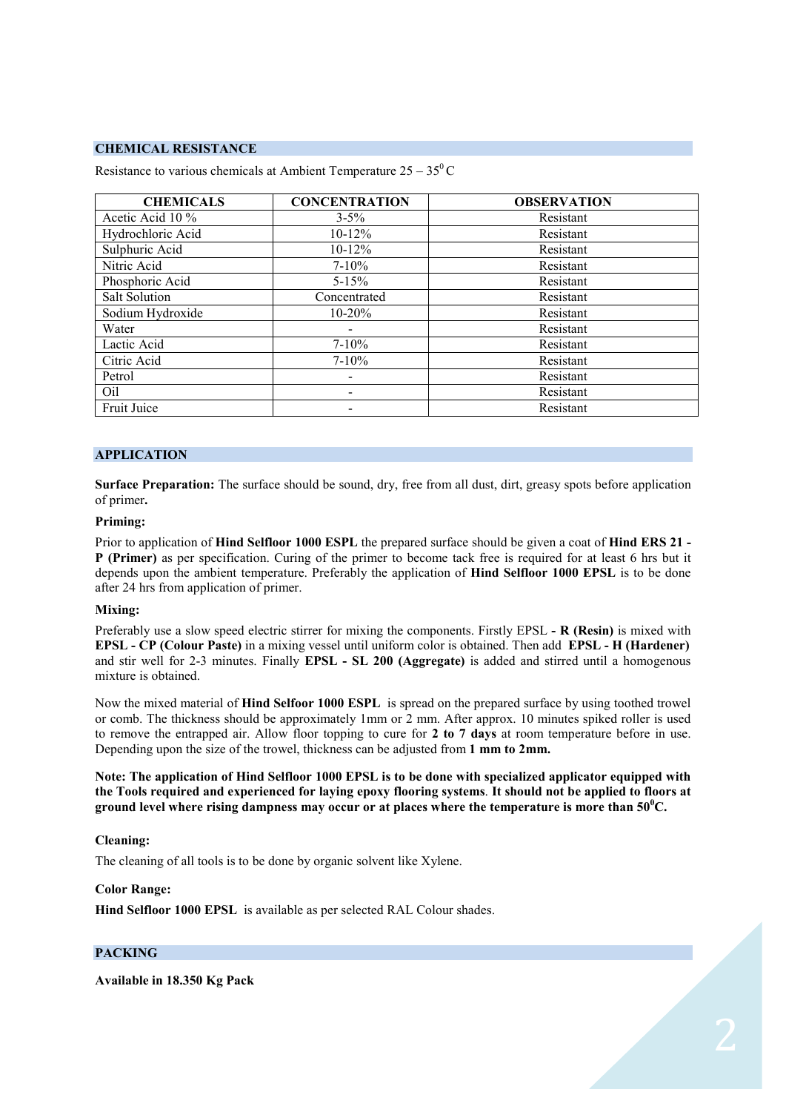### **CHEMICAL RESISTANCE**

| <b>CHEMICALS</b>  | <b>CONCENTRATION</b> | <b>OBSERVATION</b> |
|-------------------|----------------------|--------------------|
| Acetic Acid 10 %  | $3 - 5\%$            | Resistant          |
| Hydrochloric Acid | $10 - 12\%$          | Resistant          |
| Sulphuric Acid    | $10-12%$             | Resistant          |
| Nitric Acid       | $7 - 10\%$           | Resistant          |
| Phosphoric Acid   | $5 - 15%$            | Resistant          |
| Salt Solution     | Concentrated         | Resistant          |
| Sodium Hydroxide  | $10 - 20%$           | Resistant          |
| Water             |                      | Resistant          |
| Lactic Acid       | $7 - 10\%$           | Resistant          |
| Citric Acid       | $7 - 10\%$           | Resistant          |
| Petrol            |                      | Resistant          |
| Oil               | ٠                    | Resistant          |
| Fruit Juice       |                      | Resistant          |

Resistance to various chemicals at Ambient Temperature  $25 - 35^{\circ}$ C

# **APPLICATION**

**Surface Preparation:** The surface should be sound, dry, free from all dust, dirt, greasy spots before application of primer**.**

#### **Priming:**

Prior to application of **Hind Selfloor 1000 ESPL** the prepared surface should be given a coat of **Hind ERS 21 - P (Primer)** as per specification. Curing of the primer to become tack free is required for at least 6 hrs but it depends upon the ambient temperature. Preferably the application of **Hind Selfloor 1000 EPSL** is to be done after 24 hrs from application of primer.

#### **Mixing:**

Preferably use a slow speed electric stirrer for mixing the components. Firstly EPSL **- R (Resin)** is mixed with **EPSL - CP (Colour Paste)** in a mixing vessel until uniform color is obtained. Then add **EPSL - H (Hardener)** and stir well for 2-3 minutes. Finally **EPSL - SL 200 (Aggregate)** is added and stirred until a homogenous mixture is obtained.

Now the mixed material of **Hind Selfoor 1000 ESPL** is spread on the prepared surface by using toothed trowel or comb. The thickness should be approximately 1mm or 2 mm. After approx. 10 minutes spiked roller is used to remove the entrapped air. Allow floor topping to cure for **2 to 7 days** at room temperature before in use. Depending upon the size of the trowel, thickness can be adjusted from **1 mm to 2mm.**

**Note: The application of Hind Selfloor 1000 EPSL is to be done with specialized applicator equipped with the Tools required and experienced for laying epoxy flooring systems**. **It should not be applied to floors at ground level where rising dampness may occur or at places where the temperature is more than 50<sup>0</sup>C.** 

#### **Cleaning:**

The cleaning of all tools is to be done by organic solvent like Xylene.

#### **Color Range:**

**Hind Selfloor 1000 EPSL** is available as per selected RAL Colour shades.

### **PACKING**

**Available in 18.350 Kg Pack**